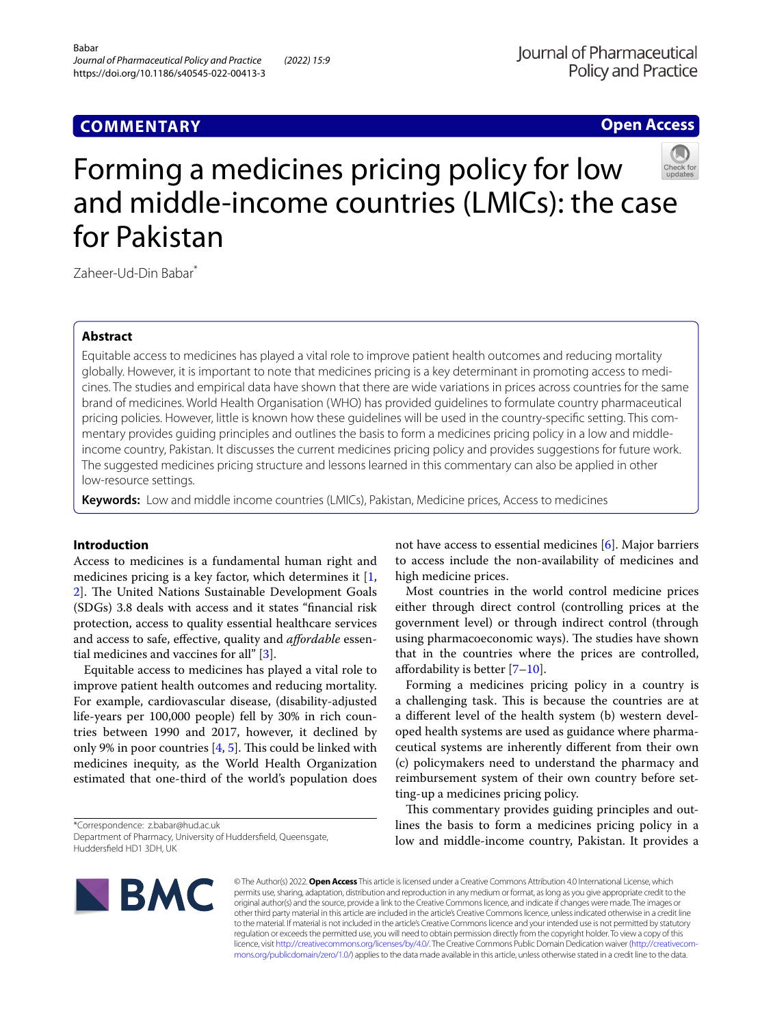# **Open Access**



# Forming a medicines pricing policy for low and middle-income countries (LMICs): the case for Pakistan

Zaheer-Ud-Din Babar<sup>\*</sup>

# **Abstract**

Equitable access to medicines has played a vital role to improve patient health outcomes and reducing mortality globally. However, it is important to note that medicines pricing is a key determinant in promoting access to medicines. The studies and empirical data have shown that there are wide variations in prices across countries for the same brand of medicines. World Health Organisation (WHO) has provided guidelines to formulate country pharmaceutical pricing policies. However, little is known how these guidelines will be used in the country-specific setting. This commentary provides guiding principles and outlines the basis to form a medicines pricing policy in a low and middleincome country, Pakistan. It discusses the current medicines pricing policy and provides suggestions for future work. The suggested medicines pricing structure and lessons learned in this commentary can also be applied in other low-resource settings.

**Keywords:** Low and middle income countries (LMICs), Pakistan, Medicine prices, Access to medicines

# **Introduction**

Access to medicines is a fundamental human right and medicines pricing is a key factor, which determines it  $[1, 1]$  $[1, 1]$ [2\]](#page-5-0). The United Nations Sustainable Development Goals (SDGs) 3.8 deals with access and it states "fnancial risk protection, access to quality essential healthcare services and access to safe, efective, quality and *afordable* essential medicines and vaccines for all" [[3\]](#page-5-1).

Equitable access to medicines has played a vital role to improve patient health outcomes and reducing mortality. For example, cardiovascular disease, (disability-adjusted life-years per 100,000 people) fell by 30% in rich countries between 1990 and 2017, however, it declined by only 9% in poor countries  $[4, 5]$  $[4, 5]$  $[4, 5]$ . This could be linked with medicines inequity, as the World Health Organization estimated that one-third of the world's population does

\*Correspondence: z.babar@hud.ac.uk Department of Pharmacy, University of Huddersfeld, Queensgate, Huddersfeld HD1 3DH, UK

not have access to essential medicines [\[6](#page-5-4)]. Major barriers to access include the non-availability of medicines and high medicine prices.

Most countries in the world control medicine prices either through direct control (controlling prices at the government level) or through indirect control (through using pharmacoeconomic ways). The studies have shown that in the countries where the prices are controlled, afordability is better [\[7–](#page-5-5)[10\]](#page-5-6).

Forming a medicines pricing policy in a country is a challenging task. This is because the countries are at a diferent level of the health system (b) western developed health systems are used as guidance where pharmaceutical systems are inherently diferent from their own (c) policymakers need to understand the pharmacy and reimbursement system of their own country before setting-up a medicines pricing policy.

This commentary provides guiding principles and outlines the basis to form a medicines pricing policy in a low and middle-income country, Pakistan. It provides a



© The Author(s) 2022. **Open Access** This article is licensed under a Creative Commons Attribution 4.0 International License, which permits use, sharing, adaptation, distribution and reproduction in any medium or format, as long as you give appropriate credit to the original author(s) and the source, provide a link to the Creative Commons licence, and indicate if changes were made. The images or other third party material in this article are included in the article's Creative Commons licence, unless indicated otherwise in a credit line to the material. If material is not included in the article's Creative Commons licence and your intended use is not permitted by statutory regulation or exceeds the permitted use, you will need to obtain permission directly from the copyright holder. To view a copy of this licence, visit [http://creativecommons.org/licenses/by/4.0/.](http://creativecommons.org/licenses/by/4.0/) The Creative Commons Public Domain Dedication waiver (http://creativecom· [mons.org/publicdomain/zero/1.0/\)](http://creativecommons.org/publicdomain/zero/1.0/) applies to the data made available in this article, unless otherwise stated in a credit line to the data.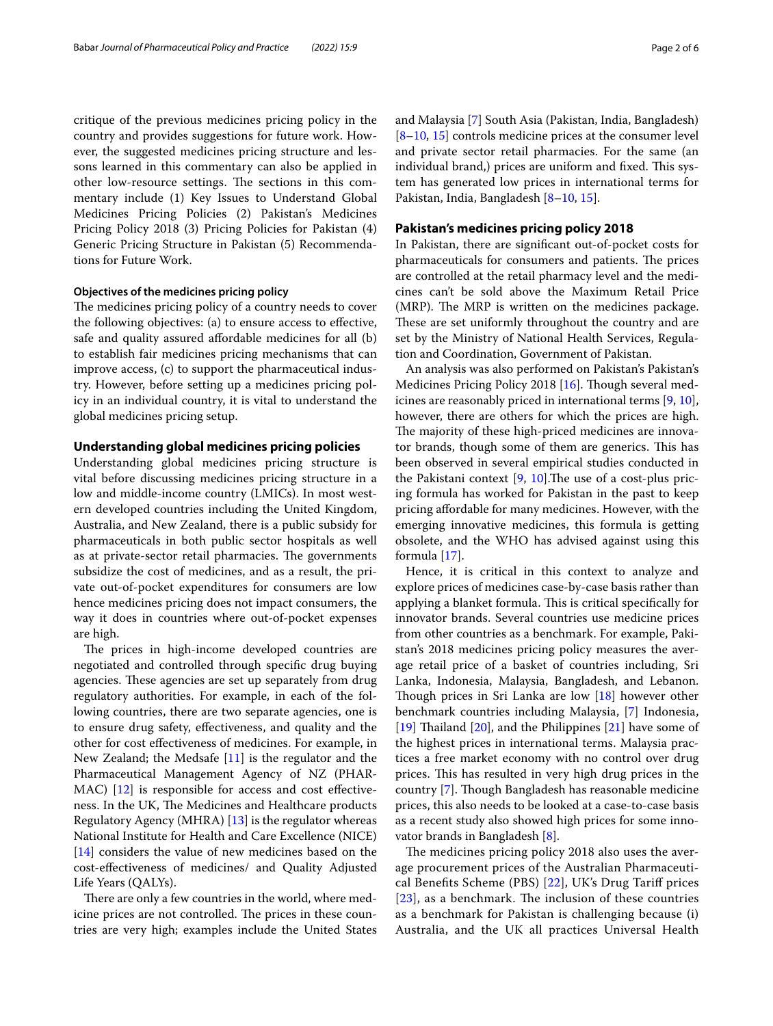critique of the previous medicines pricing policy in the country and provides suggestions for future work. However, the suggested medicines pricing structure and lessons learned in this commentary can also be applied in other low-resource settings. The sections in this commentary include (1) Key Issues to Understand Global Medicines Pricing Policies (2) Pakistan's Medicines Pricing Policy 2018 (3) Pricing Policies for Pakistan (4) Generic Pricing Structure in Pakistan (5) Recommendations for Future Work.

## **Objectives of the medicines pricing policy**

The medicines pricing policy of a country needs to cover the following objectives: (a) to ensure access to efective, safe and quality assured affordable medicines for all (b) to establish fair medicines pricing mechanisms that can improve access, (c) to support the pharmaceutical industry. However, before setting up a medicines pricing policy in an individual country, it is vital to understand the global medicines pricing setup.

#### **Understanding global medicines pricing policies**

Understanding global medicines pricing structure is vital before discussing medicines pricing structure in a low and middle-income country (LMICs). In most western developed countries including the United Kingdom, Australia, and New Zealand, there is a public subsidy for pharmaceuticals in both public sector hospitals as well as at private-sector retail pharmacies. The governments subsidize the cost of medicines, and as a result, the private out-of-pocket expenditures for consumers are low hence medicines pricing does not impact consumers, the way it does in countries where out-of-pocket expenses are high.

The prices in high-income developed countries are negotiated and controlled through specifc drug buying agencies. These agencies are set up separately from drug regulatory authorities. For example, in each of the following countries, there are two separate agencies, one is to ensure drug safety, efectiveness, and quality and the other for cost efectiveness of medicines. For example, in New Zealand; the Medsafe [[11](#page-5-7)] is the regulator and the Pharmaceutical Management Agency of NZ (PHAR-MAC) [\[12](#page-5-8)] is responsible for access and cost effectiveness. In the UK, The Medicines and Healthcare products Regulatory Agency (MHRA) [\[13](#page-5-9)] is the regulator whereas National Institute for Health and Care Excellence (NICE) [[14\]](#page-5-10) considers the value of new medicines based on the cost-efectiveness of medicines/ and Quality Adjusted Life Years (QALYs).

There are only a few countries in the world, where medicine prices are not controlled. The prices in these countries are very high; examples include the United States and Malaysia [[7](#page-5-5)] South Asia (Pakistan, India, Bangladesh) [[8–](#page-5-11)[10,](#page-5-6) [15](#page-5-12)] controls medicine prices at the consumer level and private sector retail pharmacies. For the same (an individual brand,) prices are uniform and fixed. This system has generated low prices in international terms for

## **Pakistan's medicines pricing policy 2018**

Pakistan, India, Bangladesh [\[8–](#page-5-11)[10,](#page-5-6) [15](#page-5-12)].

In Pakistan, there are signifcant out-of-pocket costs for pharmaceuticals for consumers and patients. The prices are controlled at the retail pharmacy level and the medicines can't be sold above the Maximum Retail Price (MRP). The MRP is written on the medicines package. These are set uniformly throughout the country and are set by the Ministry of National Health Services, Regulation and Coordination, Government of Pakistan.

An analysis was also performed on Pakistan's Pakistan's Medicines Pricing Policy 2018 [\[16](#page-5-13)]. Though several medicines are reasonably priced in international terms [[9,](#page-5-14) [10](#page-5-6)], however, there are others for which the prices are high. The majority of these high-priced medicines are innovator brands, though some of them are generics. This has been observed in several empirical studies conducted in the Pakistani context  $[9, 10]$  $[9, 10]$  $[9, 10]$  $[9, 10]$ . The use of a cost-plus pricing formula has worked for Pakistan in the past to keep pricing afordable for many medicines. However, with the emerging innovative medicines, this formula is getting obsolete, and the WHO has advised against using this formula [[17](#page-5-15)].

Hence, it is critical in this context to analyze and explore prices of medicines case-by-case basis rather than applying a blanket formula. This is critical specifically for innovator brands. Several countries use medicine prices from other countries as a benchmark. For example, Pakistan's 2018 medicines pricing policy measures the average retail price of a basket of countries including, Sri Lanka, Indonesia, Malaysia, Bangladesh, and Lebanon. Though prices in Sri Lanka are low  $[18]$  $[18]$  however other benchmark countries including Malaysia, [\[7](#page-5-5)] Indonesia, [[19\]](#page-5-17) Thailand  $[20]$  $[20]$ , and the Philippines  $[21]$  $[21]$  have some of the highest prices in international terms. Malaysia practices a free market economy with no control over drug prices. This has resulted in very high drug prices in the country [\[7](#page-5-5)]. Though Bangladesh has reasonable medicine prices, this also needs to be looked at a case-to-case basis as a recent study also showed high prices for some innovator brands in Bangladesh [\[8\]](#page-5-11).

The medicines pricing policy 2018 also uses the average procurement prices of the Australian Pharmaceutical Benefts Scheme (PBS) [[22](#page-5-20)], UK's Drug Tarif prices  $[23]$  $[23]$  $[23]$ , as a benchmark. The inclusion of these countries as a benchmark for Pakistan is challenging because (i) Australia, and the UK all practices Universal Health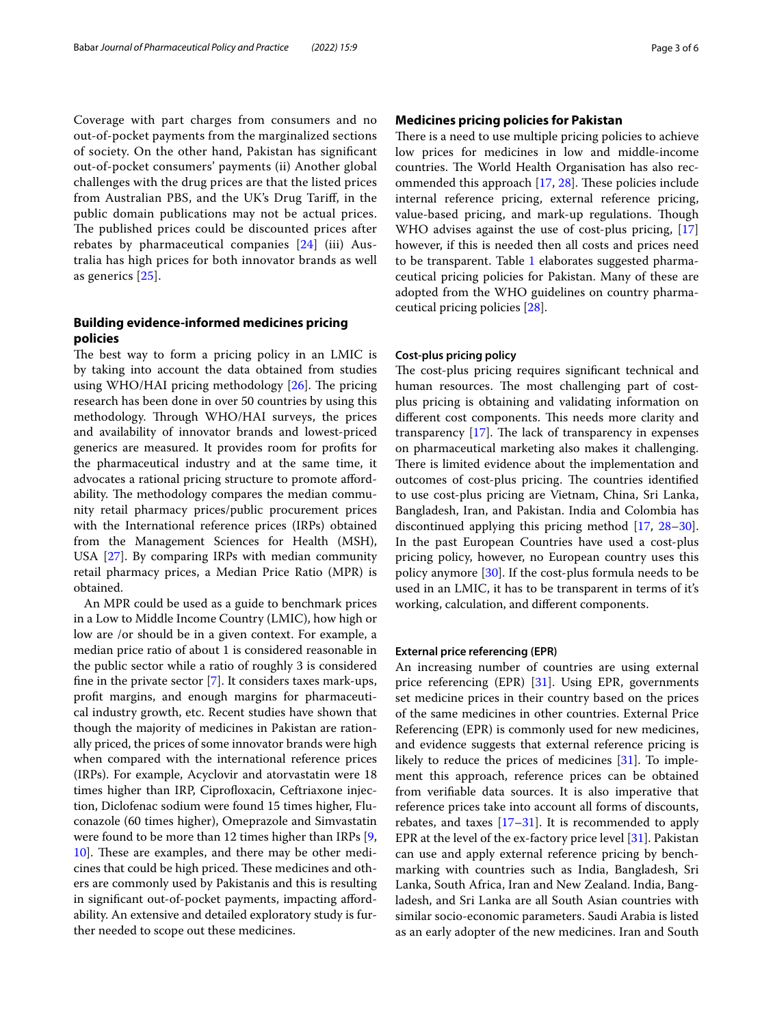Coverage with part charges from consumers and no out-of-pocket payments from the marginalized sections of society. On the other hand, Pakistan has signifcant out-of-pocket consumers' payments (ii) Another global challenges with the drug prices are that the listed prices from Australian PBS, and the UK's Drug Tarif, in the public domain publications may not be actual prices. The published prices could be discounted prices after rebates by pharmaceutical companies  $[24]$  $[24]$  (iii) Australia has high prices for both innovator brands as well as generics [[25\]](#page-5-23).

# **Building evidence‑informed medicines pricing policies**

The best way to form a pricing policy in an LMIC is by taking into account the data obtained from studies using WHO/HAI pricing methodology  $[26]$  $[26]$  $[26]$ . The pricing research has been done in over 50 countries by using this methodology. Through WHO/HAI surveys, the prices and availability of innovator brands and lowest-priced generics are measured. It provides room for profts for the pharmaceutical industry and at the same time, it advocates a rational pricing structure to promote afordability. The methodology compares the median community retail pharmacy prices/public procurement prices with the International reference prices (IRPs) obtained from the Management Sciences for Health (MSH), USA [[27\]](#page-5-25). By comparing IRPs with median community retail pharmacy prices, a Median Price Ratio (MPR) is obtained.

An MPR could be used as a guide to benchmark prices in a Low to Middle Income Country (LMIC), how high or low are /or should be in a given context. For example, a median price ratio of about 1 is considered reasonable in the public sector while a ratio of roughly 3 is considered fne in the private sector [\[7](#page-5-5)]. It considers taxes mark-ups, proft margins, and enough margins for pharmaceutical industry growth, etc. Recent studies have shown that though the majority of medicines in Pakistan are rationally priced, the prices of some innovator brands were high when compared with the international reference prices (IRPs). For example, Acyclovir and atorvastatin were 18 times higher than IRP, Ciprofloxacin, Ceftriaxone injection, Diclofenac sodium were found 15 times higher, Fluconazole (60 times higher), Omeprazole and Simvastatin were found to be more than 12 times higher than IRPs [\[9](#page-5-14), [10\]](#page-5-6). These are examples, and there may be other medicines that could be high priced. These medicines and others are commonly used by Pakistanis and this is resulting in signifcant out-of-pocket payments, impacting afordability. An extensive and detailed exploratory study is further needed to scope out these medicines.

# **Medicines pricing policies for Pakistan**

There is a need to use multiple pricing policies to achieve low prices for medicines in low and middle-income countries. The World Health Organisation has also recommended this approach  $[17, 28]$  $[17, 28]$  $[17, 28]$  $[17, 28]$  $[17, 28]$ . These policies include internal reference pricing, external reference pricing, value-based pricing, and mark-up regulations. Though WHO advises against the use of cost-plus pricing, [[17](#page-5-15)] however, if this is needed then all costs and prices need to be transparent. Table [1](#page-3-0) elaborates suggested pharmaceutical pricing policies for Pakistan. Many of these are adopted from the WHO guidelines on country pharmaceutical pricing policies [[28](#page-5-26)].

## **Cost‑plus pricing policy**

The cost-plus pricing requires significant technical and human resources. The most challenging part of costplus pricing is obtaining and validating information on different cost components. This needs more clarity and transparency  $[17]$  $[17]$ . The lack of transparency in expenses on pharmaceutical marketing also makes it challenging. There is limited evidence about the implementation and outcomes of cost-plus pricing. The countries identified to use cost-plus pricing are Vietnam, China, Sri Lanka, Bangladesh, Iran, and Pakistan. India and Colombia has discontinued applying this pricing method [[17](#page-5-15), [28](#page-5-26)[–30](#page-5-27)]. In the past European Countries have used a cost-plus pricing policy, however, no European country uses this policy anymore [\[30\]](#page-5-27). If the cost-plus formula needs to be used in an LMIC, it has to be transparent in terms of it's working, calculation, and diferent components.

## **External price referencing (EPR)**

An increasing number of countries are using external price referencing  $EPR$ ) [\[31](#page-5-28)]. Using EPR, governments set medicine prices in their country based on the prices of the same medicines in other countries. External Price Referencing (EPR) is commonly used for new medicines, and evidence suggests that external reference pricing is likely to reduce the prices of medicines [[31](#page-5-28)]. To implement this approach, reference prices can be obtained from verifable data sources. It is also imperative that reference prices take into account all forms of discounts, rebates, and taxes  $[17-31]$  $[17-31]$  $[17-31]$ . It is recommended to apply EPR at the level of the ex-factory price level [\[31](#page-5-28)]. Pakistan can use and apply external reference pricing by benchmarking with countries such as India, Bangladesh, Sri Lanka, South Africa, Iran and New Zealand. India, Bangladesh, and Sri Lanka are all South Asian countries with similar socio-economic parameters. Saudi Arabia is listed as an early adopter of the new medicines. Iran and South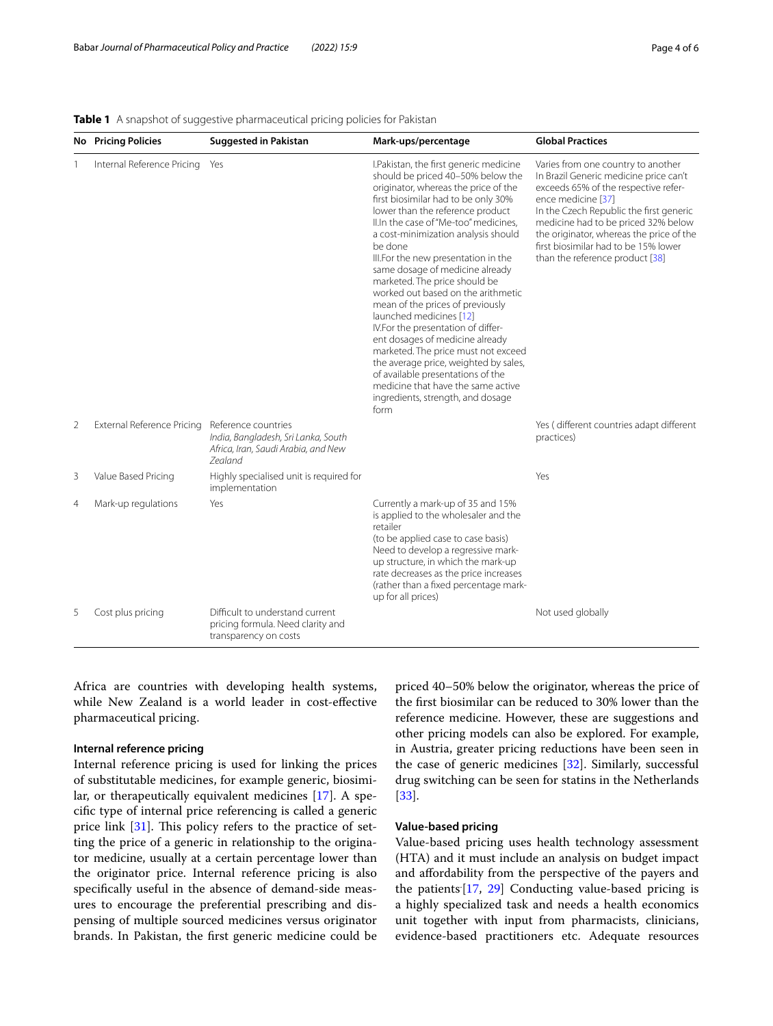# <span id="page-3-0"></span>**Table 1** A snapshot of suggestive pharmaceutical pricing policies for Pakistan

|                | <b>No</b> Pricing Policies | <b>Suggested in Pakistan</b>                                                                                        | Mark-ups/percentage                                                                                                                                                                                                                                                                                                                                                                                                                                                                                                                                                                                                                                                                                                                                                                        | <b>Global Practices</b>                                                                                                                                                                                                                                                                                                                             |
|----------------|----------------------------|---------------------------------------------------------------------------------------------------------------------|--------------------------------------------------------------------------------------------------------------------------------------------------------------------------------------------------------------------------------------------------------------------------------------------------------------------------------------------------------------------------------------------------------------------------------------------------------------------------------------------------------------------------------------------------------------------------------------------------------------------------------------------------------------------------------------------------------------------------------------------------------------------------------------------|-----------------------------------------------------------------------------------------------------------------------------------------------------------------------------------------------------------------------------------------------------------------------------------------------------------------------------------------------------|
|                | Internal Reference Pricing | Yes                                                                                                                 | I.Pakistan, the first generic medicine<br>should be priced 40-50% below the<br>originator, whereas the price of the<br>first biosimilar had to be only 30%<br>lower than the reference product<br>II.In the case of "Me-too" medicines.<br>a cost-minimization analysis should<br>be done<br>III.For the new presentation in the<br>same dosage of medicine already<br>marketed. The price should be<br>worked out based on the arithmetic<br>mean of the prices of previously<br>launched medicines [12]<br>IV.For the presentation of differ-<br>ent dosages of medicine already<br>marketed. The price must not exceed<br>the average price, weighted by sales,<br>of available presentations of the<br>medicine that have the same active<br>ingredients, strength, and dosage<br>form | Varies from one country to another<br>In Brazil Generic medicine price can't<br>exceeds 65% of the respective refer-<br>ence medicine [37]<br>In the Czech Republic the first generic<br>medicine had to be priced 32% below<br>the originator, whereas the price of the<br>first biosimilar had to be 15% lower<br>than the reference product [38] |
| $\overline{2}$ | External Reference Pricing | Reference countries<br>India, Bangladesh, Sri Lanka, South<br>Africa, Iran, Saudi Arabia, and New<br><b>Zealand</b> |                                                                                                                                                                                                                                                                                                                                                                                                                                                                                                                                                                                                                                                                                                                                                                                            | Yes (different countries adapt different<br>practices)                                                                                                                                                                                                                                                                                              |
| 3              | Value Based Pricing        | Highly specialised unit is required for<br>implementation                                                           |                                                                                                                                                                                                                                                                                                                                                                                                                                                                                                                                                                                                                                                                                                                                                                                            | Yes                                                                                                                                                                                                                                                                                                                                                 |
| $\overline{4}$ | Mark-up regulations        | Yes                                                                                                                 | Currently a mark-up of 35 and 15%<br>is applied to the wholesaler and the<br>retailer<br>(to be applied case to case basis)<br>Need to develop a regressive mark-<br>up structure, in which the mark-up<br>rate decreases as the price increases<br>(rather than a fixed percentage mark-<br>up for all prices)                                                                                                                                                                                                                                                                                                                                                                                                                                                                            |                                                                                                                                                                                                                                                                                                                                                     |
| 5              | Cost plus pricing          | Difficult to understand current<br>pricing formula. Need clarity and<br>transparency on costs                       |                                                                                                                                                                                                                                                                                                                                                                                                                                                                                                                                                                                                                                                                                                                                                                                            | Not used globally                                                                                                                                                                                                                                                                                                                                   |

Africa are countries with developing health systems, while New Zealand is a world leader in cost-efective pharmaceutical pricing.

# **Internal reference pricing**

Internal reference pricing is used for linking the prices of substitutable medicines, for example generic, biosimilar, or therapeutically equivalent medicines [[17\]](#page-5-15). A specifc type of internal price referencing is called a generic price link  $[31]$  $[31]$ . This policy refers to the practice of setting the price of a generic in relationship to the originator medicine, usually at a certain percentage lower than the originator price. Internal reference pricing is also specifcally useful in the absence of demand-side measures to encourage the preferential prescribing and dispensing of multiple sourced medicines versus originator brands. In Pakistan, the frst generic medicine could be

priced 40–50% below the originator, whereas the price of the frst biosimilar can be reduced to 30% lower than the reference medicine. However, these are suggestions and other pricing models can also be explored. For example, in Austria, greater pricing reductions have been seen in the case of generic medicines [[32\]](#page-5-29). Similarly, successful drug switching can be seen for statins in the Netherlands [[33\]](#page-5-30).

# **Value‑based pricing**

Value-based pricing uses health technology assessment (HTA) and it must include an analysis on budget impact and afordability from the perspective of the payers and the patients<sup>[\[17](#page-5-15), [29\]](#page-5-31)</sup> Conducting value-based pricing is a highly specialized task and needs a health economics unit together with input from pharmacists, clinicians, evidence-based practitioners etc. Adequate resources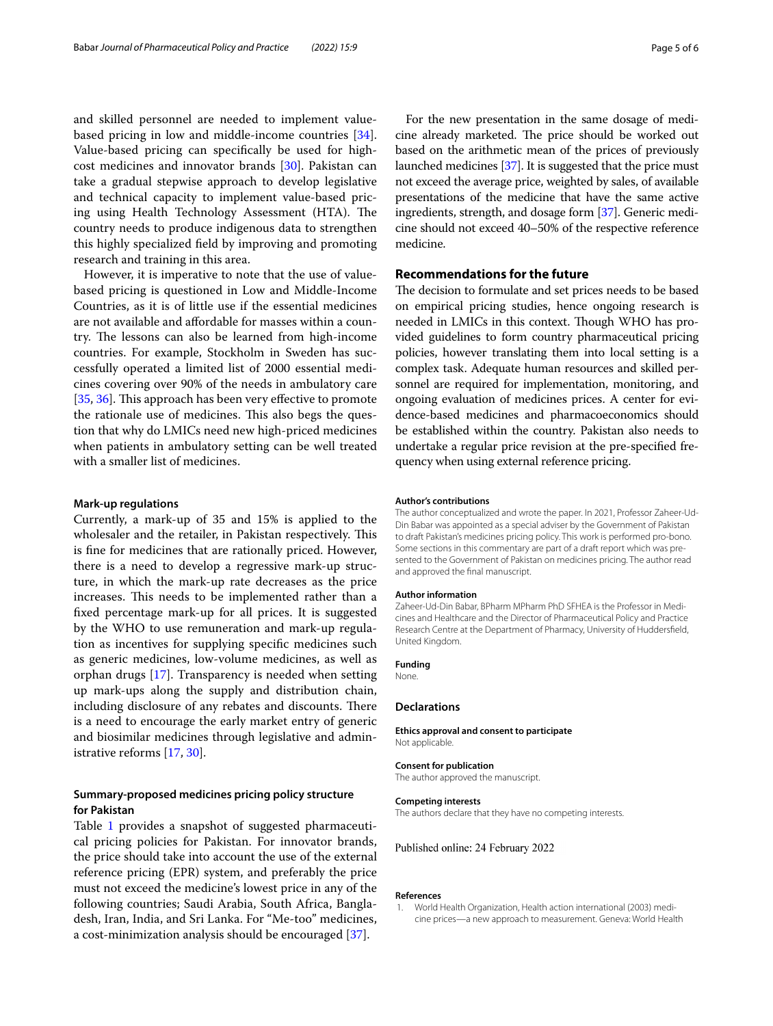and skilled personnel are needed to implement valuebased pricing in low and middle-income countries [\[34](#page-5-34)]. Value-based pricing can specifcally be used for highcost medicines and innovator brands [\[30\]](#page-5-27). Pakistan can take a gradual stepwise approach to develop legislative and technical capacity to implement value-based pricing using Health Technology Assessment (HTA). The country needs to produce indigenous data to strengthen this highly specialized feld by improving and promoting research and training in this area.

However, it is imperative to note that the use of valuebased pricing is questioned in Low and Middle-Income Countries, as it is of little use if the essential medicines are not available and afordable for masses within a country. The lessons can also be learned from high-income countries. For example, Stockholm in Sweden has successfully operated a limited list of 2000 essential medicines covering over 90% of the needs in ambulatory care [[35,](#page-5-35) [36\]](#page-5-36). This approach has been very effective to promote the rationale use of medicines. This also begs the question that why do LMICs need new high-priced medicines when patients in ambulatory setting can be well treated with a smaller list of medicines.

#### **Mark‑up regulations**

Currently, a mark-up of 35 and 15% is applied to the wholesaler and the retailer, in Pakistan respectively. This is fne for medicines that are rationally priced. However, there is a need to develop a regressive mark-up structure, in which the mark-up rate decreases as the price increases. This needs to be implemented rather than a fxed percentage mark-up for all prices. It is suggested by the WHO to use remuneration and mark-up regulation as incentives for supplying specifc medicines such as generic medicines, low-volume medicines, as well as orphan drugs [\[17](#page-5-15)]. Transparency is needed when setting up mark-ups along the supply and distribution chain, including disclosure of any rebates and discounts. There is a need to encourage the early market entry of generic and biosimilar medicines through legislative and administrative reforms [\[17](#page-5-15), [30](#page-5-27)].

# **Summary‑proposed medicines pricing policy structure for Pakistan**

Table [1](#page-3-0) provides a snapshot of suggested pharmaceutical pricing policies for Pakistan. For innovator brands, the price should take into account the use of the external reference pricing (EPR) system, and preferably the price must not exceed the medicine's lowest price in any of the following countries; Saudi Arabia, South Africa, Bangladesh, Iran, India, and Sri Lanka. For "Me-too" medicines, a cost-minimization analysis should be encouraged [[37\]](#page-5-32).

For the new presentation in the same dosage of medicine already marketed. The price should be worked out based on the arithmetic mean of the prices of previously launched medicines [\[37\]](#page-5-32). It is suggested that the price must not exceed the average price, weighted by sales, of available presentations of the medicine that have the same active ingredients, strength, and dosage form [\[37\]](#page-5-32). Generic medicine should not exceed 40–50% of the respective reference medicine.

# **Recommendations for the future**

The decision to formulate and set prices needs to be based on empirical pricing studies, hence ongoing research is needed in LMICs in this context. Though WHO has provided guidelines to form country pharmaceutical pricing policies, however translating them into local setting is a complex task. Adequate human resources and skilled personnel are required for implementation, monitoring, and ongoing evaluation of medicines prices. A center for evidence-based medicines and pharmacoeconomics should be established within the country. Pakistan also needs to undertake a regular price revision at the pre-specifed frequency when using external reference pricing.

#### **Author's contributions**

The author conceptualized and wrote the paper. In 2021, Professor Zaheer-Ud-Din Babar was appointed as a special adviser by the Government of Pakistan to draft Pakistan's medicines pricing policy. This work is performed pro-bono. Some sections in this commentary are part of a draft report which was presented to the Government of Pakistan on medicines pricing. The author read and approved the fnal manuscript.

#### **Author information**

Zaheer-Ud-Din Babar, BPharm MPharm PhD SFHEA is the Professor in Medicines and Healthcare and the Director of Pharmaceutical Policy and Practice Research Centre at the Department of Pharmacy, University of Huddersfeld, United Kingdom.

## **Funding**

None.

## **Declarations**

**Ethics approval and consent to participate** Not applicable.

#### **Consent for publication**

The author approved the manuscript.

#### **Competing interests**

The authors declare that they have no competing interests.

#### Published online: 24 February 2022

#### **References**

<span id="page-4-0"></span>1. World Health Organization, Health action international (2003) medi‑ cine prices—a new approach to measurement. Geneva: World Health